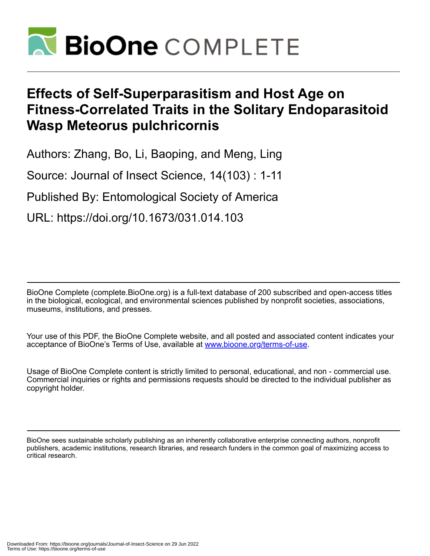

# **Effects of Self-Superparasitism and Host Age on Fitness-Correlated Traits in the Solitary Endoparasitoid Wasp Meteorus pulchricornis**

Authors: Zhang, Bo, Li, Baoping, and Meng, Ling

Source: Journal of Insect Science, 14(103) : 1-11

Published By: Entomological Society of America

URL: https://doi.org/10.1673/031.014.103

BioOne Complete (complete.BioOne.org) is a full-text database of 200 subscribed and open-access titles in the biological, ecological, and environmental sciences published by nonprofit societies, associations, museums, institutions, and presses.

Your use of this PDF, the BioOne Complete website, and all posted and associated content indicates your acceptance of BioOne's Terms of Use, available at www.bioone.org/terms-of-use.

Usage of BioOne Complete content is strictly limited to personal, educational, and non - commercial use. Commercial inquiries or rights and permissions requests should be directed to the individual publisher as copyright holder.

BioOne sees sustainable scholarly publishing as an inherently collaborative enterprise connecting authors, nonprofit publishers, academic institutions, research libraries, and research funders in the common goal of maximizing access to critical research.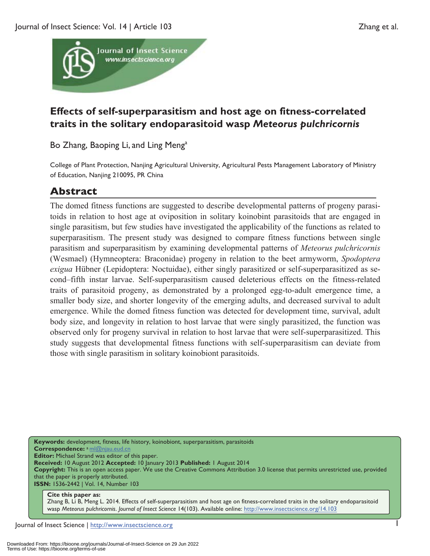

# **Effects of self-superparasitism and host age on fitness-correlated traits in the solitary endoparasitoid wasp** *Meteorus pulchricornis*

Bo Zhang, Baoping Li, and Ling Meng<sup>a</sup>

College of Plant Protection, Nanjing Agricultural University, Agricultural Pests Management Laboratory of Ministry of Education, Nanjing 210095, PR China

# **Abstract**

The domed fitness functions are suggested to describe developmental patterns of progeny parasitoids in relation to host age at oviposition in solitary koinobint parasitoids that are engaged in single parasitism, but few studies have investigated the applicability of the functions as related to superparasitism. The present study was designed to compare fitness functions between single parasitism and superparasitism by examining developmental patterns of *Meteorus pulchricornis* (Wesmael) (Hymneoptera: Braconidae) progeny in relation to the beet armyworm, *Spodoptera exigua* Hübner (Lepidoptera: Noctuidae), either singly parasitized or self-superparasitized as second–fifth instar larvae. Self-superparasitism caused deleterious effects on the fitness-related traits of parasitoid progeny, as demonstrated by a prolonged egg-to-adult emergence time, a smaller body size, and shorter longevity of the emerging adults, and decreased survival to adult emergence. While the domed fitness function was detected for development time, survival, adult body size, and longevity in relation to host larvae that were singly parasitized, the function was observed only for progeny survival in relation to host larvae that were self-superparasitized. This study suggests that developmental fitness functions with self-superparasitism can deviate from those with single parasitism in solitary koinobiont parasitoids.

**Keywords:** development, fitness, life history, koinobiont, superparasitism, parasitoids **Correspondence:** a ml@njau.eud.cn **Editor:** Michael Strand was editor of this paper. **Received:** 10 August 2012 **Accepted:** 10 January 2013 **Published:** 1 August 2014 **Copyright:** This is an open access paper. We use the Creative Commons Attribution 3.0 license that permits unrestricted use, provided that the paper is properly attributed. **ISSN:** 1536-2442 | Vol. 14, Number 103

**Cite this paper as:**  Zhang B, Li B, Meng L. 2014. Effects of self-superparasitism and host age on fitness-correlated traits in the solitary endoparasitoid wasp *Meteorus pulchricornis*. *Journal of Insect Science* 14(103). Available online: http://www.insectscience.org/14.103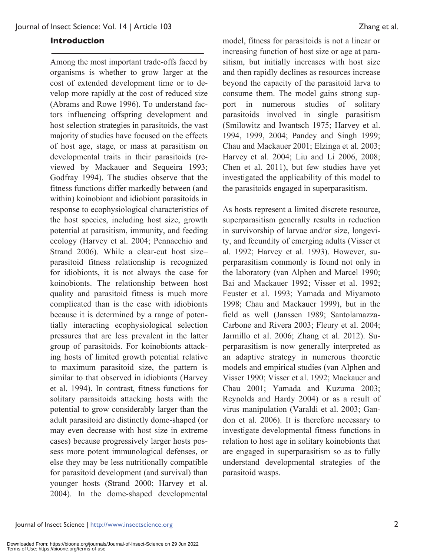#### **Introduction**

Among the most important trade-offs faced by organisms is whether to grow larger at the cost of extended development time or to develop more rapidly at the cost of reduced size (Abrams and Rowe 1996). To understand factors influencing offspring development and host selection strategies in parasitoids, the vast majority of studies have focused on the effects of host age, stage, or mass at parasitism on developmental traits in their parasitoids (reviewed by Mackauer and Sequeira 1993; Godfray 1994). The studies observe that the fitness functions differ markedly between (and within) koinobiont and idiobiont parasitoids in response to ecophysiological characteristics of the host species, including host size, growth potential at parasitism, immunity, and feeding ecology (Harvey et al. 2004; Pennacchio and Strand 2006). While a clear-cut host size– parasitoid fitness relationship is recognized for idiobionts, it is not always the case for koinobionts. The relationship between host quality and parasitoid fitness is much more complicated than is the case with idiobionts because it is determined by a range of potentially interacting ecophysiological selection pressures that are less prevalent in the latter group of parasitoids. For koinobionts attacking hosts of limited growth potential relative to maximum parasitoid size, the pattern is similar to that observed in idiobionts (Harvey et al. 1994). In contrast, fitness functions for solitary parasitoids attacking hosts with the potential to grow considerably larger than the adult parasitoid are distinctly dome-shaped (or may even decrease with host size in extreme cases) because progressively larger hosts possess more potent immunological defenses, or else they may be less nutritionally compatible for parasitoid development (and survival) than younger hosts (Strand 2000; Harvey et al. 2004). In the dome-shaped developmental

model, fitness for parasitoids is not a linear or increasing function of host size or age at parasitism, but initially increases with host size and then rapidly declines as resources increase beyond the capacity of the parasitoid larva to consume them. The model gains strong support in numerous studies of solitary parasitoids involved in single parasitism (Smilowitz and Iwantsch 1975; Harvey et al. 1994, 1999, 2004; Pandey and Singh 1999; Chau and Mackauer 2001; Elzinga et al. 2003; Harvey et al. 2004; Liu and Li 2006, 2008; Chen et al. 2011), but few studies have yet investigated the applicability of this model to the parasitoids engaged in superparasitism.

As hosts represent a limited discrete resource, superparasitism generally results in reduction in survivorship of larvae and/or size, longevity, and fecundity of emerging adults (Visser et al. 1992; Harvey et al. 1993). However, superparasitism commonly is found not only in the laboratory (van Alphen and Marcel 1990; Bai and Mackauer 1992; Visser et al. 1992; Feuster et al. 1993; Yamada and Miyamoto 1998; Chau and Mackauer 1999), but in the field as well (Janssen 1989; Santolamazza-Carbone and Rivera 2003; Fleury et al. 2004; Jarmillo et al. 2006; Zhang et al. 2012). Superparasitism is now generally interpreted as an adaptive strategy in numerous theoretic models and empirical studies (van Alphen and Visser 1990; Visser et al. 1992; Mackauer and Chau 2001; Yamada and Kuzuma 2003; Reynolds and Hardy 2004) or as a result of virus manipulation (Varaldi et al. 2003; Gandon et al. 2006). It is therefore necessary to investigate developmental fitness functions in relation to host age in solitary koinobionts that are engaged in superparasitism so as to fully understand developmental strategies of the parasitoid wasps.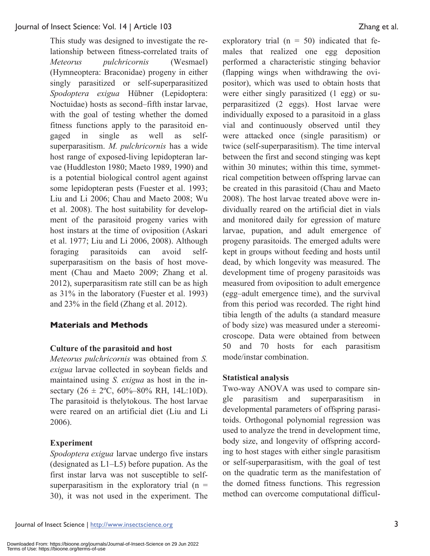This study was designed to investigate the relationship between fitness-correlated traits of *Meteorus pulchricornis* (Wesmael) (Hymneoptera: Braconidae) progeny in either singly parasitized or self-superparasitized *Spodoptera exigua* Hübner (Lepidoptera: Noctuidae) hosts as second–fifth instar larvae, with the goal of testing whether the domed fitness functions apply to the parasitoid engaged in single as well as selfsuperparasitism. *M. pulchricornis* has a wide host range of exposed-living lepidopteran larvae (Huddleston 1980; Maeto 1989, 1990) and is a potential biological control agent against some lepidopteran pests (Fuester et al. 1993; Liu and Li 2006; Chau and Maeto 2008; Wu et al. 2008). The host suitability for development of the parasitoid progeny varies with host instars at the time of oviposition (Askari et al. 1977; Liu and Li 2006, 2008). Although foraging parasitoids can avoid selfsuperparasitism on the basis of host movement (Chau and Maeto 2009; Zhang et al. 2012), superparasitism rate still can be as high as 31% in the laboratory (Fuester et al. 1993) and 23% in the field (Zhang et al. 2012).

# **Materials and Methods**

# **Culture of the parasitoid and host**

*Meteorus pulchricornis* was obtained from *S. exigua* larvae collected in soybean fields and maintained using *S. exigua* as host in the insectary  $(26 \pm 2^{\circ}\text{C}, 60\% - 80\% \text{ RH}, 14L:10D)$ . The parasitoid is thelytokous. The host larvae were reared on an artificial diet (Liu and Li 2006).

# **Experiment**

*Spodoptera exigua* larvae undergo five instars (designated as L1–L5) before pupation. As the first instar larva was not susceptible to selfsuperparasitism in the exploratory trial  $(n =$ 30), it was not used in the experiment. The exploratory trial  $(n = 50)$  indicated that females that realized one egg deposition performed a characteristic stinging behavior (flapping wings when withdrawing the ovipositor), which was used to obtain hosts that were either singly parasitized (1 egg) or superparasitized (2 eggs). Host larvae were individually exposed to a parasitoid in a glass vial and continuously observed until they were attacked once (single parasitism) or twice (self-superparasitism). The time interval between the first and second stinging was kept within 30 minutes; within this time, symmetrical competition between offspring larvae can be created in this parasitoid (Chau and Maeto 2008). The host larvae treated above were individually reared on the artificial diet in vials and monitored daily for egression of mature larvae, pupation, and adult emergence of progeny parasitoids. The emerged adults were kept in groups without feeding and hosts until dead, by which longevity was measured. The development time of progeny parasitoids was measured from oviposition to adult emergence (egg–adult emergence time), and the survival from this period was recorded. The right hind tibia length of the adults (a standard measure of body size) was measured under a stereomicroscope. Data were obtained from between 50 and 70 hosts for each parasitism mode/instar combination.

# **Statistical analysis**

Two-way ANOVA was used to compare single parasitism and superparasitism in developmental parameters of offspring parasitoids. Orthogonal polynomial regression was used to analyze the trend in development time, body size, and longevity of offspring according to host stages with either single parasitism or self-superparasitism, with the goal of test on the quadratic term as the manifestation of the domed fitness functions. This regression method can overcome computational difficul-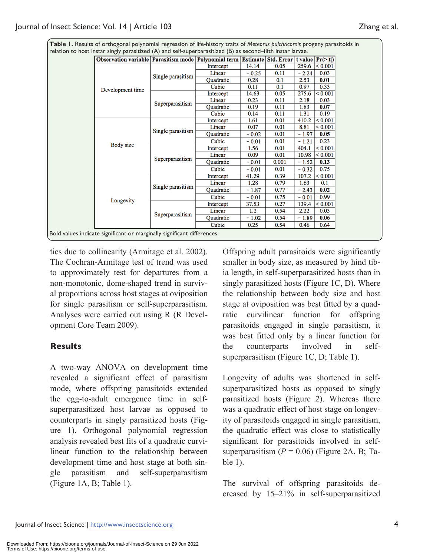**Table 1.** Results of orthogonal polynomial regression of life-history traits of *Meteorus pulchricornis* progeny parasitoids in relation to host instar singly parasitized (A) and self-superparasitized (B) as second–fifth instar larvae.

| Observation variable   Parasitism mode   Polynomial term   Estimate   Std. Error   t value   $Pr(\ge  t )$ |                   |           |         |       |         |         |
|------------------------------------------------------------------------------------------------------------|-------------------|-----------|---------|-------|---------|---------|
| Development time                                                                                           | Single parasitism | Intercept | 14.14   | 0.05  | 259.6   | < 0.001 |
|                                                                                                            |                   | Linear    | $-0.25$ | 0.11  | $-2.24$ | 0.03    |
|                                                                                                            |                   | Ouadratic | 0.28    | 0.1   | 2.53    | 0.01    |
|                                                                                                            |                   | Cubic     | 0.11    | 0.1   | 0.97    | 0.33    |
|                                                                                                            | Superparasitism   | Intercept | 14.63   | 0.05  | 275.6   | < 0.001 |
|                                                                                                            |                   | Linear    | 0.23    | 0.11  | 2.18    | 0.03    |
|                                                                                                            |                   | Quadratic | 0.19    | 0.11  | 1.83    | 0.07    |
|                                                                                                            |                   | Cubic     | 0.14    | 0.11  | 1.31    | 0.19    |
| Body size                                                                                                  | Single parasitism | Intercept | 1.61    | 0.01  | 410.2   | < 0.001 |
|                                                                                                            |                   | Linear    | 0.07    | 0.01  | 8.81    | < 0.001 |
|                                                                                                            |                   | Quadratic | $-0.02$ | 0.01  | $-1.97$ | 0.05    |
|                                                                                                            |                   | Cubic     | $-0.01$ | 0.01  | $-1.21$ | 0.23    |
|                                                                                                            | Superparasitism   | Intercept | 1.56    | 0.01  | 404.1   | < 0.001 |
|                                                                                                            |                   | Linear    | 0.09    | 0.01  | 10.98   | < 0.001 |
|                                                                                                            |                   | Quadratic | $-0.01$ | 0.001 | $-1.52$ | 0.13    |
|                                                                                                            |                   | Cubic     | $-0.01$ | 0.01  | $-0.32$ | 0.75    |
| Longevity                                                                                                  | Single parasitism | Intercept | 41.29   | 0.39  | 107.2   | < 0.001 |
|                                                                                                            |                   | Linear    | 1.28    | 0.79  | 1.63    | 0.1     |
|                                                                                                            |                   | Quadratic | $-1.87$ | 0.77  | $-2.43$ | 0.02    |
|                                                                                                            |                   | Cubic     | $-0.01$ | 0.75  | $-0.01$ | 0.99    |
|                                                                                                            | Superparasitism   | Intercept | 37.53   | 0.27  | 139.4   | < 0.001 |
|                                                                                                            |                   | Linear    | 1.2     | 0.54  | 2.22    | 0.03    |
|                                                                                                            |                   | Quadratic | $-1.02$ | 0.54  | $-1.89$ | 0.06    |
|                                                                                                            |                   | Cubic     | 0.25    | 0.54  | 0.46    | 0.64    |

ties due to collinearity (Armitage et al. 2002). The Cochran-Armitage test of trend was used to approximately test for departures from a non-monotonic, dome-shaped trend in survival proportions across host stages at oviposition for single parasitism or self-superparasitism. Analyses were carried out using R (R Development Core Team 2009).

# **Results**

A two-way ANOVA on development time revealed a significant effect of parasitism mode, where offspring parasitoids extended the egg-to-adult emergence time in selfsuperparasitized host larvae as opposed to counterparts in singly parasitized hosts (Figure 1). Orthogonal polynomial regression analysis revealed best fits of a quadratic curvilinear function to the relationship between development time and host stage at both single parasitism and self-superparasitism (Figure 1A, B; Table 1).

Offspring adult parasitoids were significantly smaller in body size, as measured by hind tibia length, in self-superparasitized hosts than in singly parasitized hosts (Figure 1C, D). Where the relationship between body size and host stage at oviposition was best fitted by a quadratic curvilinear function for offspring parasitoids engaged in single parasitism, it was best fitted only by a linear function for the counterparts involved in selfsuperparasitism (Figure 1C, D; Table 1).

Longevity of adults was shortened in selfsuperparasitized hosts as opposed to singly parasitized hosts (Figure 2). Whereas there was a quadratic effect of host stage on longevity of parasitoids engaged in single parasitism, the quadratic effect was close to statistically significant for parasitoids involved in selfsuperparasitism  $(P = 0.06)$  (Figure 2A, B; Table 1).

The survival of offspring parasitoids decreased by 15–21% in self-superparasitized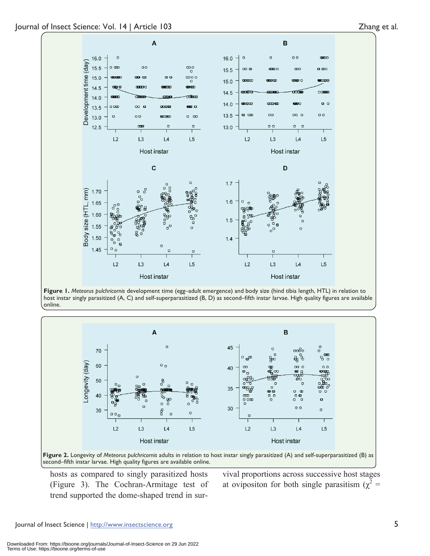



**Figure 1.** *Meteorus pulchricornis* development time (egg–adult emergence) and body size (hind tibia length, HTL) in relation to host instar singly parasitized (A, C) and self-superparasitized (B, D) as second–fifth instar larvae. High quality figures are available online.



**Figure 2.** Longevity of *Meteorus pulchricornis* adults in relation to host instar singly parasitized (A) and self-superparasitized (B) as second–fifth instar larvae. High quality figures are available online.

hosts as compared to singly parasitized hosts (Figure 3). The Cochran-Armitage test of trend supported the dome-shaped trend in survival proportions across successive host stages at ovipositon for both single parasitism ( $\chi^2$  =

Journal of Insect Science | http://www.insectscience.org 5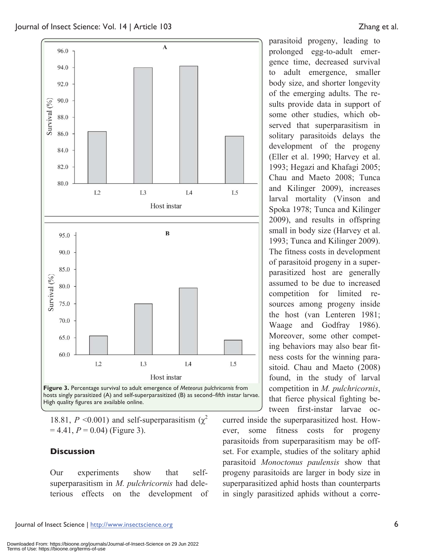

hosts singly parasitized (A) and self-superparasitized (B) as second–fifth instar larvae. High quality figures are available online.

18.81,  $P \le 0.001$ ) and self-superparasitism ( $\chi^2$  $= 4.41, P = 0.04$ ) (Figure 3).

#### **Discussion**

Our experiments show that selfsuperparasitism in *M. pulchricornis* had deleterious effects on the development of

parasitoid progeny, leading to prolonged egg-to-adult emergence time, decreased survival to adult emergence, smaller body size, and shorter longevity of the emerging adults. The results provide data in support of some other studies, which observed that superparasitism in solitary parasitoids delays the development of the progeny (Eller et al. 1990; Harvey et al. 1993; Hegazi and Khafagi 2005; Chau and Maeto 2008; Tunca and Kilinger 2009), increases larval mortality (Vinson and Spoka 1978; Tunca and Kilinger 2009), and results in offspring small in body size (Harvey et al. 1993; Tunca and Kilinger 2009). The fitness costs in development of parasitoid progeny in a superparasitized host are generally assumed to be due to increased competition for limited resources among progeny inside the host (van Lenteren 1981; Waage and Godfray 1986). Moreover, some other competing behaviors may also bear fitness costs for the winning parasitoid. Chau and Maeto (2008) found, in the study of larval competition in *M. pulchricornis*, that fierce physical fighting between first-instar larvae oc-

curred inside the superparasitized host. However, some fitness costs for progeny parasitoids from superparasitism may be offset. For example, studies of the solitary aphid parasitoid *Monoctonus paulensis* show that progeny parasitoids are larger in body size in superparasitized aphid hosts than counterparts in singly parasitized aphids without a corre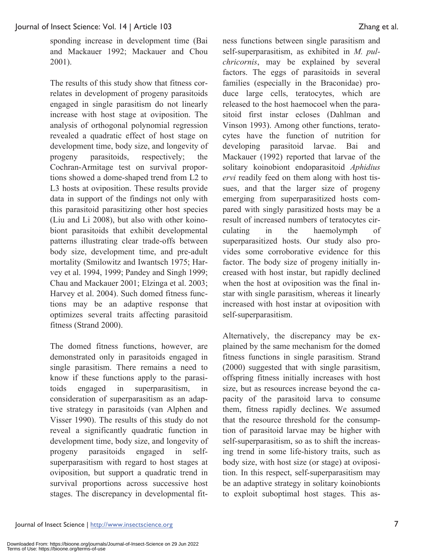sponding increase in development time (Bai and Mackauer 1992; Mackauer and Chou 2001).

The results of this study show that fitness correlates in development of progeny parasitoids engaged in single parasitism do not linearly increase with host stage at oviposition. The analysis of orthogonal polynomial regression revealed a quadratic effect of host stage on development time, body size, and longevity of progeny parasitoids, respectively; the Cochran-Armitage test on survival proportions showed a dome-shaped trend from L2 to L3 hosts at oviposition. These results provide data in support of the findings not only with this parasitoid parasitizing other host species (Liu and Li 2008), but also with other koinobiont parasitoids that exhibit developmental patterns illustrating clear trade-offs between body size, development time, and pre-adult mortality (Smilowitz and Iwantsch 1975; Harvey et al. 1994, 1999; Pandey and Singh 1999; Chau and Mackauer 2001; Elzinga et al. 2003; Harvey et al. 2004). Such domed fitness functions may be an adaptive response that optimizes several traits affecting parasitoid fitness (Strand 2000).

The domed fitness functions, however, are demonstrated only in parasitoids engaged in single parasitism. There remains a need to know if these functions apply to the parasitoids engaged in superparasitism, in consideration of superparasitism as an adaptive strategy in parasitoids (van Alphen and Visser 1990). The results of this study do not reveal a significantly quadratic function in development time, body size, and longevity of progeny parasitoids engaged in selfsuperparasitism with regard to host stages at oviposition, but support a quadratic trend in survival proportions across successive host stages. The discrepancy in developmental fitness functions between single parasitism and self-superparasitism, as exhibited in *M. pulchricornis*, may be explained by several factors. The eggs of parasitoids in several families (especially in the Braconidae) produce large cells, teratocytes, which are released to the host haemocoel when the parasitoid first instar ecloses (Dahlman and Vinson 1993). Among other functions, teratocytes have the function of nutrition for developing parasitoid larvae. Bai and Mackauer (1992) reported that larvae of the solitary koinobiont endoparasitoid *Aphidius ervi* readily feed on them along with host tissues, and that the larger size of progeny emerging from superparasitized hosts compared with singly parasitized hosts may be a result of increased numbers of teratocytes circulating in the haemolymph of superparasitized hosts. Our study also provides some corroborative evidence for this factor. The body size of progeny initially increased with host instar, but rapidly declined when the host at oviposition was the final instar with single parasitism, whereas it linearly increased with host instar at oviposition with self-superparasitism.

Alternatively, the discrepancy may be explained by the same mechanism for the domed fitness functions in single parasitism. Strand (2000) suggested that with single parasitism, offspring fitness initially increases with host size, but as resources increase beyond the capacity of the parasitoid larva to consume them, fitness rapidly declines. We assumed that the resource threshold for the consumption of parasitoid larvae may be higher with self-superparasitism, so as to shift the increasing trend in some life-history traits, such as body size, with host size (or stage) at oviposition. In this respect, self-superparasitism may be an adaptive strategy in solitary koinobionts to exploit suboptimal host stages. This as-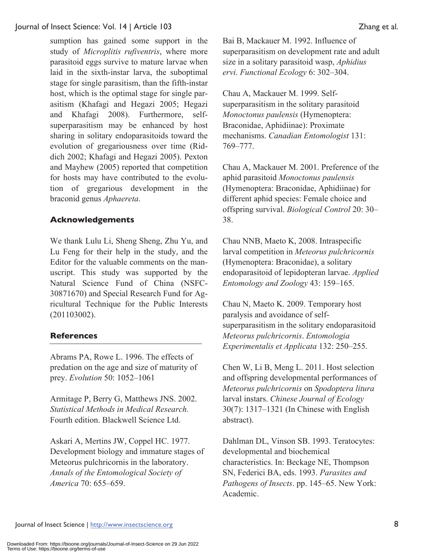sumption has gained some support in the study of *Microplitis rufiventris*, where more parasitoid eggs survive to mature larvae when laid in the sixth-instar larva, the suboptimal stage for single parasitism, than the fifth-instar host, which is the optimal stage for single parasitism (Khafagi and Hegazi 2005; Hegazi and Khafagi 2008). Furthermore, selfsuperparasitism may be enhanced by host sharing in solitary endoparasitoids toward the evolution of gregariousness over time (Riddich 2002; Khafagi and Hegazi 2005). Pexton and Mayhew (2005) reported that competition for hosts may have contributed to the evolution of gregarious development in the braconid genus *Aphaereta*.

# **Acknowledgements**

We thank Lulu Li, Sheng Sheng, Zhu Yu, and Lu Feng for their help in the study, and the Editor for the valuable comments on the manuscript. This study was supported by the Natural Science Fund of China (NSFC-30871670) and Special Research Fund for Agricultural Technique for the Public Interests (201103002).

# **References**

Abrams PA, Rowe L. 1996. The effects of predation on the age and size of maturity of prey. *Evolution* 50: 1052–1061

Armitage P, Berry G, Matthews JNS. 2002. *Statistical Methods in Medical Research.* Fourth edition. Blackwell Science Ltd.

Askari A, Mertins JW, Coppel HC. 1977. Development biology and immature stages of Meteorus pulchricornis in the laboratory. *Annals of the Entomological Society of America* 70: 655–659.

Bai B, Mackauer M. 1992. Influence of superparasitism on development rate and adult size in a solitary parasitoid wasp, *Aphidius ervi*. *Functional Ecology* 6: 302–304.

Chau A, Mackauer M. 1999. Selfsuperparasitism in the solitary parasitoid *Monoctonus paulensis* (Hymenoptera: Braconidae, Aphidiinae): Proximate mechanisms. *Canadian Entomologist* 131: 769–777.

Chau A, Mackauer M. 2001. Preference of the aphid parasitoid *Monoctonus paulensis* (Hymenoptera: Braconidae, Aphidiinae) for different aphid species: Female choice and offspring survival. *Biological Control* 20: 30– 38.

Chau NNB, Maeto K, 2008. Intraspecific larval competition in *Meteorus pulchricornis* (Hymenoptera: Braconidae), a solitary endoparasitoid of lepidopteran larvae. *Applied Entomology and Zoology* 43: 159–165.

Chau N, Maeto K. 2009. Temporary host paralysis and avoidance of selfsuperparasitism in the solitary endoparasitoid *Meteorus pulchricornis*. *Entomologia Experimentalis et Applicata* 132: 250–255.

Chen W, Li B, Meng L. 2011. Host selection and offspring developmental performances of *Meteorus pulchricornis* on *Spodoptera litura* larval instars. *Chinese Journal of Ecology* 30(7): 1317–1321 (In Chinese with English abstract).

Dahlman DL, Vinson SB. 1993. Teratocytes: developmental and biochemical characteristics. In: Beckage NE, Thompson SN, Federici BA, eds. 1993. *Parasites and Pathogens of Insects*. pp. 145–65. New York: Academic.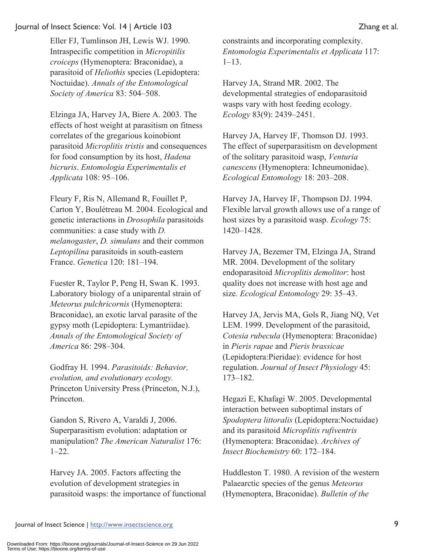Eller FJ, Tumlinson JH, Lewis WJ. 1990. Intraspecific competition in *Micropitilis croiceps* (Hymenoptera: Braconidae), a parasitoid of *Heliothis* species (Lepidoptera: Noctuidae). *Annals of the Entomological Society of America* 83: 504–508.

Elzinga JA, Harvey JA, Biere A. 2003. The effects of host weight at parasitism on fitness correlates of the gregarious koinobiont parasitoid *Microplitis tristis* and consequences for food consumption by its host, *Hadena bicruris*. *Entomologia Experimentalis et Applicata* 108: 95–106.

Fleury F, Ris N, Allemand R, Fouillet P, Carton Y, Boulétreau M. 2004. Ecological and genetic interactions in *Drosophila* parasitoids communities: a case study with *D. melanogaster*, *D. simulans* and their common *Leptopilina* parasitoids in south-eastern France. *Genetica* 120: 181–194.

Fuester R, Taylor P, Peng H, Swan K. 1993. Laboratory biology of a uniparental strain of *Meteorus pulchricornis* (Hymenoptera: Braconidae), an exotic larval parasite of the gypsy moth (Lepidoptera: Lymantriidae). *Annals of the Entomological Society of America* 86: 298–304.

Godfray H. 1994. *Parasitoids: Behavior, evolution, and evolutionary ecology.* Princeton University Press (Princeton, N.J.), Princeton.

Gandon S, Rivero A, Varaldi J, 2006. Superparasitism evolution: adaptation or manipulation? *The American Naturalist* 176: 1–22.

Harvey JA. 2005. Factors affecting the evolution of development strategies in parasitoid wasps: the importance of functional constraints and incorporating complexity. *Entomologia Experimentalis et Applicata* 117: 1–13.

Harvey JA, Strand MR. 2002. The developmental strategies of endoparasitoid wasps vary with host feeding ecology. *Ecology* 83(9): 2439–2451.

Harvey JA, Harvey IF, Thomson DJ. 1993. The effect of superparasitism on development of the solitary parasitoid wasp, *Venturia canescens* (Hymenoptera: Ichneumonidae). *Ecological Entomology* 18: 203–208.

Harvey JA, Harvey IF, Thompson DJ. 1994. Flexible larval growth allows use of a range of host sizes by a parasitoid wasp. *Ecology* 75: 1420–1428.

Harvey JA, Bezemer TM, Elzinga JA, Strand MR. 2004. Development of the solitary endoparasitoid *Microplitis demolitor*: host quality does not increase with host age and size. *Ecological Entomology* 29: 35–43.

Harvey JA, Jervis MA, Gols R, Jiang NQ, Vet LEM. 1999. Development of the parasitoid, *Cotesia rubecula* (Hymenoptera: Braconidae) in *Pieris rapae* and *Pieris brassicae* (Lepidoptera:Pieridae): evidence for host regulation. *Journal of Insect Physiology* 45: 173–182.

Hegazi E, Khafagi W. 2005. Developmental interaction between suboptimal instars of *Spodoptera littoralis* (Lepidoptera:Noctuidae) and its parasitoid *Microplitis rufiventris* (Hymenoptera: Braconidae). *Archives of Insect Biochemistry* 60: 172–184.

Huddleston T. 1980. A revision of the western Palaearctic species of the genus *Meteorus* (Hymenoptera, Braconidae). *Bulletin of the*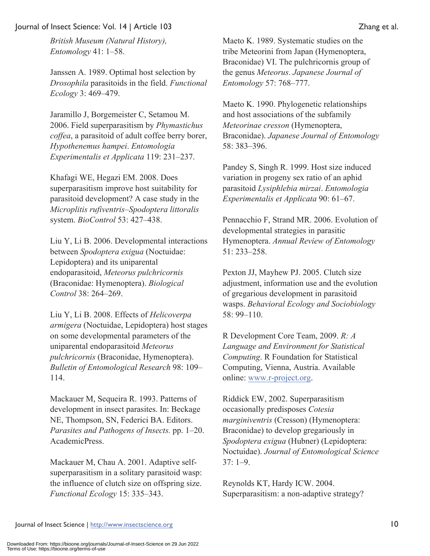*British Museum (Natural History), Entomology* 41: 1–58.

Janssen A. 1989. Optimal host selection by *Drosophila* parasitoids in the field. *Functional Ecology* 3: 469–479.

Jaramillo J, Borgemeister C, Setamou M. 2006. Field superparasitism by *Phymastichus coffea*, a parasitoid of adult coffee berry borer, *Hypothenemus hampei*. *Entomologia Experimentalis et Applicata* 119: 231–237.

Khafagi WE, Hegazi EM. 2008. Does superparasitism improve host suitability for parasitoid development? A case study in the *Microplitis rufiventris*–*Spodoptera littoralis*  system. *BioControl* 53: 427–438.

Liu Y, Li B. 2006. Developmental interactions between *Spodoptera exigua* (Noctuidae: Lepidoptera) and its uniparental endoparasitoid, *Meteorus pulchricornis* (Braconidae: Hymenoptera). *Biological Control* 38: 264–269.

Liu Y, Li B. 2008. Effects of *Helicoverpa armigera* (Noctuidae, Lepidoptera) host stages on some developmental parameters of the uniparental endoparasitoid *Meteorus pulchricornis* (Braconidae, Hymenoptera). *Bulletin of Entomological Research* 98: 109– 114.

Mackauer M, Sequeira R. 1993. Patterns of development in insect parasites. In: Beckage NE, Thompson, SN, Federici BA. Editors. *Parasites and Pathogens of Insects.* pp. 1–20. AcademicPress.

Mackauer M, Chau A. 2001. Adaptive selfsuperparasitism in a solitary parasitoid wasp: the influence of clutch size on offspring size. *Functional Ecology* 15: 335–343.

Maeto K. 1989. Systematic studies on the tribe Meteorini from Japan (Hymenoptera, Braconidae) VI. The pulchricornis group of the genus *Meteorus*. *Japanese Journal of Entomology* 57: 768–777.

Maeto K. 1990. Phylogenetic relationships and host associations of the subfamily *Meteorinae cresson* (Hymenoptera, Braconidae). *Japanese Journal of Entomology* 58: 383–396.

Pandey S, Singh R. 1999. Host size induced variation in progeny sex ratio of an aphid parasitoid *Lysiphlebia mirzai*. *Entomologia Experimentalis et Applicata* 90: 61–67.

Pennacchio F, Strand MR. 2006. Evolution of developmental strategies in parasitic Hymenoptera. *Annual Review of Entomology* 51: 233–258.

Pexton JJ, Mayhew PJ. 2005. Clutch size adjustment, information use and the evolution of gregarious development in parasitoid wasps. *Behavioral Ecology and Sociobiology* 58: 99–110.

R Development Core Team, 2009. *R: A Language and Environment for Statistical Computing*. R Foundation for Statistical Computing, Vienna, Austria. Available online: www.r-project.org.

Riddick EW, 2002. Superparasitism occasionally predisposes *Cotesia marginiventris* (Cresson) (Hymenoptera: Braconidae) to develop gregariously in *Spodoptera exigua* (Hubner) (Lepidoptera: Noctuidae). *Journal of Entomological Science* 37: 1–9.

Reynolds KT, Hardy ICW. 2004. Superparasitism: a non-adaptive strategy?